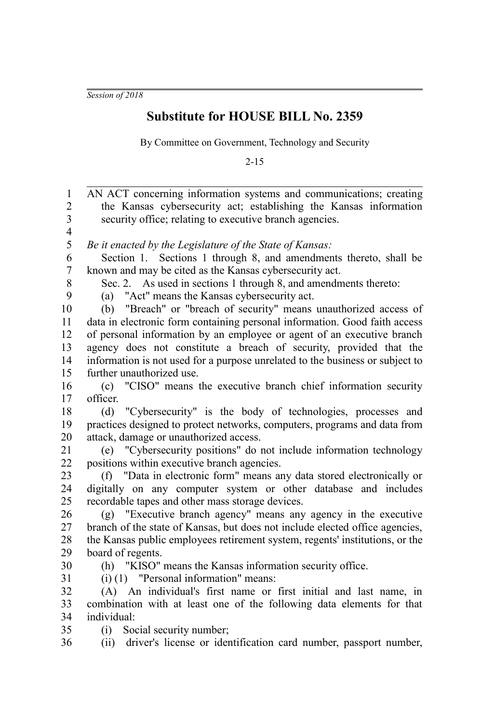*Session of 2018*

## **Substitute for HOUSE BILL No. 2359**

By Committee on Government, Technology and Security

2-15

AN ACT concerning information systems and communications; creating the Kansas cybersecurity act; establishing the Kansas information security office; relating to executive branch agencies. *Be it enacted by the Legislature of the State of Kansas:* Section 1. Sections 1 through 8, and amendments thereto, shall be known and may be cited as the Kansas cybersecurity act. Sec. 2. As used in sections 1 through 8, and amendments thereto: (a) "Act" means the Kansas cybersecurity act. (b) "Breach" or "breach of security" means unauthorized access of data in electronic form containing personal information. Good faith access of personal information by an employee or agent of an executive branch agency does not constitute a breach of security, provided that the information is not used for a purpose unrelated to the business or subject to further unauthorized use. (c) "CISO" means the executive branch chief information security officer. (d) "Cybersecurity" is the body of technologies, processes and practices designed to protect networks, computers, programs and data from attack, damage or unauthorized access. (e) "Cybersecurity positions" do not include information technology positions within executive branch agencies. (f) "Data in electronic form" means any data stored electronically or digitally on any computer system or other database and includes recordable tapes and other mass storage devices. (g) "Executive branch agency" means any agency in the executive branch of the state of Kansas, but does not include elected office agencies, the Kansas public employees retirement system, regents' institutions, or the board of regents. (h) "KISO" means the Kansas information security office. (i) (1) "Personal information" means: (A) An individual's first name or first initial and last name, in combination with at least one of the following data elements for that individual: (i) Social security number; (ii) driver's license or identification card number, passport number, 1 2 3 4 5 6 7 8 9 10 11 12 13 14 15 16 17 18 19 20 21 22 23 24 25 26 27 28 29 30 31 32 33 34 35 36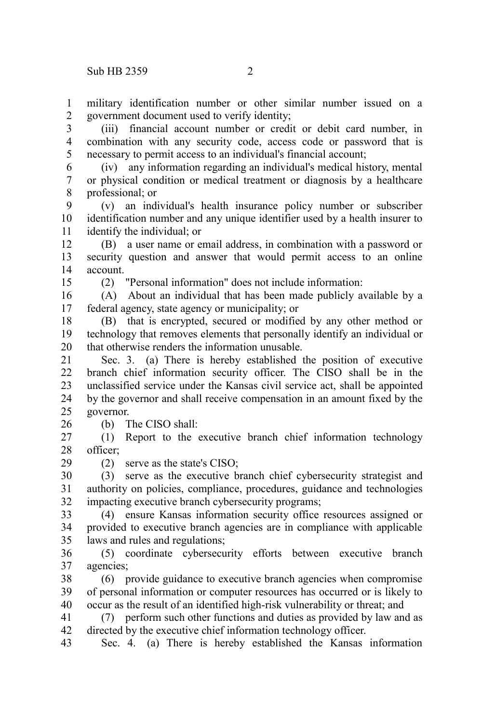military identification number or other similar number issued on a government document used to verify identity; 1 2

(iii) financial account number or credit or debit card number, in combination with any security code, access code or password that is necessary to permit access to an individual's financial account; 3 4 5

(iv) any information regarding an individual's medical history, mental or physical condition or medical treatment or diagnosis by a healthcare professional; or 6 7 8

(v) an individual's health insurance policy number or subscriber identification number and any unique identifier used by a health insurer to identify the individual; or 9 10 11

(B) a user name or email address, in combination with a password or security question and answer that would permit access to an online account. 12 13 14

15

26

29

(2) "Personal information" does not include information:

(A) About an individual that has been made publicly available by a federal agency, state agency or municipality; or 16 17

(B) that is encrypted, secured or modified by any other method or technology that removes elements that personally identify an individual or that otherwise renders the information unusable. 18 19 20

Sec. 3. (a) There is hereby established the position of executive branch chief information security officer. The CISO shall be in the unclassified service under the Kansas civil service act, shall be appointed by the governor and shall receive compensation in an amount fixed by the governor. 21 22 23 24 25

(b) The CISO shall:

(1) Report to the executive branch chief information technology officer; 27 28

(2) serve as the state's CISO;

(3) serve as the executive branch chief cybersecurity strategist and authority on policies, compliance, procedures, guidance and technologies impacting executive branch cybersecurity programs; 30 31 32

(4) ensure Kansas information security office resources assigned or provided to executive branch agencies are in compliance with applicable laws and rules and regulations; 33 34 35

(5) coordinate cybersecurity efforts between executive branch agencies; 36 37

(6) provide guidance to executive branch agencies when compromise of personal information or computer resources has occurred or is likely to occur as the result of an identified high-risk vulnerability or threat; and 38 39 40

(7) perform such other functions and duties as provided by law and as directed by the executive chief information technology officer. 41 42

Sec. 4. (a) There is hereby established the Kansas information 43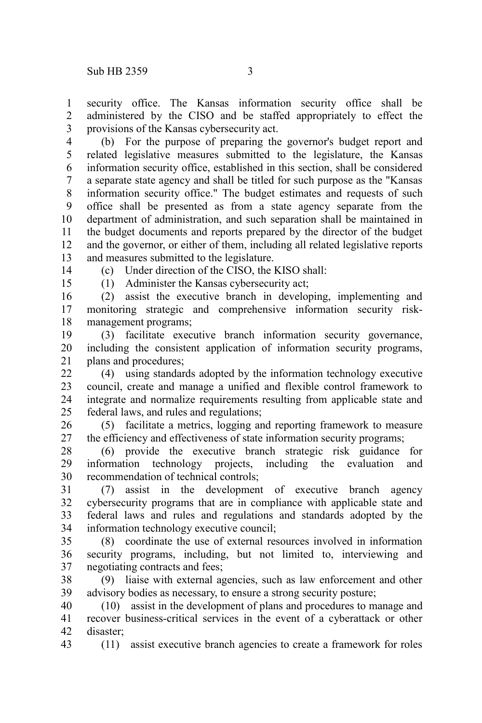security office. The Kansas information security office shall be administered by the CISO and be staffed appropriately to effect the provisions of the Kansas cybersecurity act. 1  $\mathcal{L}$ 3

(b) For the purpose of preparing the governor's budget report and related legislative measures submitted to the legislature, the Kansas information security office, established in this section, shall be considered a separate state agency and shall be titled for such purpose as the "Kansas information security office." The budget estimates and requests of such office shall be presented as from a state agency separate from the department of administration, and such separation shall be maintained in the budget documents and reports prepared by the director of the budget and the governor, or either of them, including all related legislative reports and measures submitted to the legislature. 4 5 6 7 8 9 10 11 12 13

14

(c) Under direction of the CISO, the KISO shall:

15

(1) Administer the Kansas cybersecurity act;

(2) assist the executive branch in developing, implementing and monitoring strategic and comprehensive information security riskmanagement programs; 16 17 18

(3) facilitate executive branch information security governance, including the consistent application of information security programs, plans and procedures; 19 20 21

(4) using standards adopted by the information technology executive council, create and manage a unified and flexible control framework to integrate and normalize requirements resulting from applicable state and federal laws, and rules and regulations; 22 23 24 25

(5) facilitate a metrics, logging and reporting framework to measure the efficiency and effectiveness of state information security programs; 26 27

(6) provide the executive branch strategic risk guidance for information technology projects, including the evaluation and recommendation of technical controls; 28 29 30

(7) assist in the development of executive branch agency cybersecurity programs that are in compliance with applicable state and federal laws and rules and regulations and standards adopted by the information technology executive council; 31 32 33 34

(8) coordinate the use of external resources involved in information security programs, including, but not limited to, interviewing and negotiating contracts and fees; 35 36 37

(9) liaise with external agencies, such as law enforcement and other advisory bodies as necessary, to ensure a strong security posture; 38 39

(10) assist in the development of plans and procedures to manage and recover business-critical services in the event of a cyberattack or other disaster; 40 41 42

43

(11) assist executive branch agencies to create a framework for roles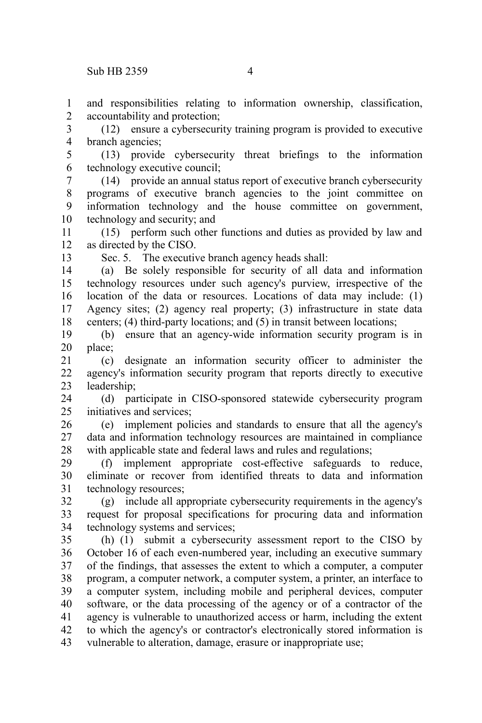and responsibilities relating to information ownership, classification, accountability and protection; 1 2

(12) ensure a cybersecurity training program is provided to executive branch agencies; 3 4

(13) provide cybersecurity threat briefings to the information technology executive council; 5 6

(14) provide an annual status report of executive branch cybersecurity programs of executive branch agencies to the joint committee on information technology and the house committee on government, technology and security; and 7 8 9 10

(15) perform such other functions and duties as provided by law and as directed by the CISO. 11 12

13

Sec. 5. The executive branch agency heads shall:

(a) Be solely responsible for security of all data and information technology resources under such agency's purview, irrespective of the location of the data or resources. Locations of data may include: (1) Agency sites; (2) agency real property; (3) infrastructure in state data centers; (4) third-party locations; and (5) in transit between locations; 14 15 16 17 18

(b) ensure that an agency-wide information security program is in place; 19 20

(c) designate an information security officer to administer the agency's information security program that reports directly to executive leadership; 21 22 23

(d) participate in CISO-sponsored statewide cybersecurity program initiatives and services; 24 25

(e) implement policies and standards to ensure that all the agency's data and information technology resources are maintained in compliance with applicable state and federal laws and rules and regulations; 26 27 28

(f) implement appropriate cost-effective safeguards to reduce, eliminate or recover from identified threats to data and information technology resources; 29 30 31

(g) include all appropriate cybersecurity requirements in the agency's request for proposal specifications for procuring data and information technology systems and services; 32 33 34

(h) (1) submit a cybersecurity assessment report to the CISO by October 16 of each even-numbered year, including an executive summary of the findings, that assesses the extent to which a computer, a computer program, a computer network, a computer system, a printer, an interface to a computer system, including mobile and peripheral devices, computer software, or the data processing of the agency or of a contractor of the agency is vulnerable to unauthorized access or harm, including the extent to which the agency's or contractor's electronically stored information is vulnerable to alteration, damage, erasure or inappropriate use; 35 36 37 38 39 40 41 42 43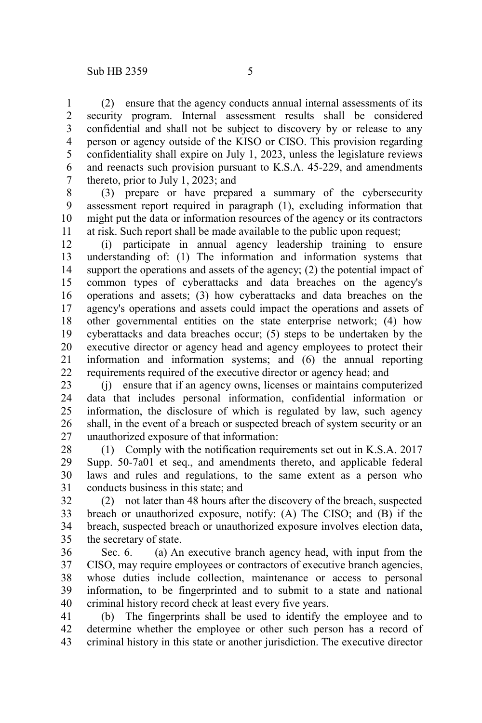(2) ensure that the agency conducts annual internal assessments of its security program. Internal assessment results shall be considered confidential and shall not be subject to discovery by or release to any person or agency outside of the KISO or CISO. This provision regarding confidentiality shall expire on July 1, 2023, unless the legislature reviews and reenacts such provision pursuant to K.S.A. 45-229, and amendments thereto, prior to July 1, 2023; and 1 2 3 4 5 6 7

(3) prepare or have prepared a summary of the cybersecurity assessment report required in paragraph (1), excluding information that might put the data or information resources of the agency or its contractors at risk. Such report shall be made available to the public upon request; 8 9 10 11

(i) participate in annual agency leadership training to ensure understanding of: (1) The information and information systems that support the operations and assets of the agency; (2) the potential impact of common types of cyberattacks and data breaches on the agency's operations and assets; (3) how cyberattacks and data breaches on the agency's operations and assets could impact the operations and assets of other governmental entities on the state enterprise network; (4) how cyberattacks and data breaches occur; (5) steps to be undertaken by the executive director or agency head and agency employees to protect their information and information systems; and (6) the annual reporting requirements required of the executive director or agency head; and 12 13 14 15 16 17 18 19 20 21 22

(j) ensure that if an agency owns, licenses or maintains computerized data that includes personal information, confidential information or information, the disclosure of which is regulated by law, such agency shall, in the event of a breach or suspected breach of system security or an unauthorized exposure of that information: 23 24 25 26 27

(1) Comply with the notification requirements set out in K.S.A. 2017 Supp. 50-7a01 et seq., and amendments thereto, and applicable federal laws and rules and regulations, to the same extent as a person who conducts business in this state; and 28 29 30 31

(2) not later than 48 hours after the discovery of the breach, suspected breach or unauthorized exposure, notify: (A) The CISO; and (B) if the breach, suspected breach or unauthorized exposure involves election data, the secretary of state. 32 33 34 35

Sec. 6. **(a)** An executive branch agency head, with input from the CISO, may require employees or contractors of executive branch agencies, whose duties include collection, maintenance or access to personal information, to be fingerprinted and to submit to a state and national criminal history record check at least every five years. 36 37 38 39 40

(b) The fingerprints shall be used to identify the employee and to determine whether the employee or other such person has a record of criminal history in this state or another jurisdiction. The executive director 41 42 43